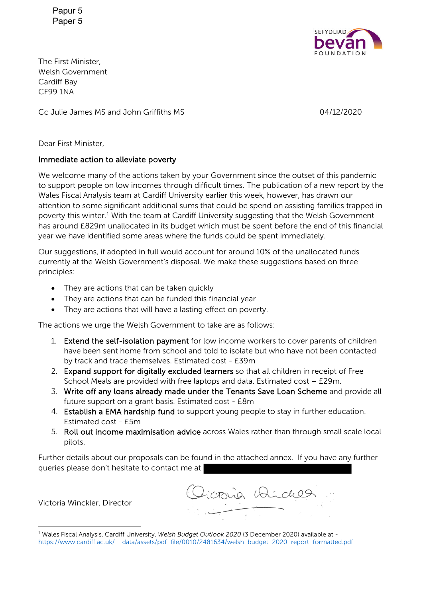Papur 5 Paper 5



The First Minister, Welsh Government Cardiff Bay CF99 1NA

Cc Julie James MS and John Griffiths MS 04/12/2020

Dear First Minister,

#### Immediate action to alleviate poverty

We welcome many of the actions taken by your Government since the outset of this pandemic to support people on low incomes through difficult times. The publication of a new report by the Wales Fiscal Analysis team at Cardiff University earlier this week, however, has drawn our attention to some significant additional sums that could be spend on assisting families trapped in poverty this winter.<sup>1</sup> With the team at Cardiff University suggesting that the Welsh Government has around £829m unallocated in its budget which must be spent before the end of this financial year we have identified some areas where the funds could be spent immediately.

Our suggestions, if adopted in full would account for around 10% of the unallocated funds currently at the Welsh Government's disposal. We make these suggestions based on three principles:

- They are actions that can be taken quickly
- They are actions that can be funded this financial year
- They are actions that will have a lasting effect on poverty.

The actions we urge the Welsh Government to take are as follows:

- 1. Extend the self-isolation payment for low income workers to cover parents of children have been sent home from school and told to isolate but who have not been contacted by track and trace themselves. Estimated cost - £39m
- 2. Expand support for digitally excluded learners so that all children in receipt of Free School Meals are provided with free laptops and data. Estimated cost – £29m.
- 3. Write off any loans already made under the Tenants Save Loan Scheme and provide all future support on a grant basis. Estimated cost - £8m
- 4. Establish a EMA hardship fund to support young people to stay in further education. Estimated cost - £5m
- 5. Roll out income maximisation advice across Wales rather than through small scale local pilots.

Further details about our proposals can be found in the attached annex. If you have any further queries please don't hesitate to contact me at

Victoria Winckler, Director

comia Wides

<sup>1</sup> Wales Fiscal Analysis, Cardiff University, *Welsh Budget Outlook 2020* (3 December 2020) available at https://www.cardiff.ac.uk/ data/assets/pdf file/0010/2481634/welsh budget 2020 report formatted.pdf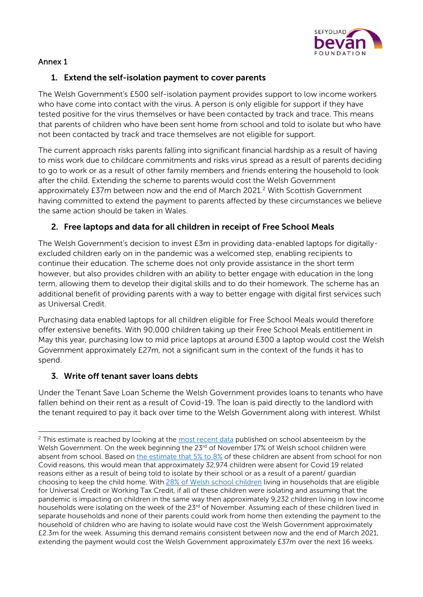

# Annex 1

# 1. Extend the self-isolation payment to cover parents

The Welsh Government's £500 self-isolation payment provides support to low income workers who have come into contact with the virus. A person is only eligible for support if they have tested positive for the virus themselves or have been contacted by track and trace. This means that parents of children who have been sent home from school and told to isolate but who have not been contacted by track and trace themselves are not eligible for support.

The current approach risks parents falling into significant financial hardship as a result of having to miss work due to childcare commitments and risks virus spread as a result of parents deciding to go to work or as a result of other family members and friends entering the household to look after the child. Extending the scheme to parents would cost the Welsh Government approximately £37m between now and the end of March 2021.<sup>2</sup> With Scottish Government having committed to extend the payment to parents affected by these circumstances we believe the same action should be taken in Wales.

### 2. Free laptops and data for all children in receipt of Free School Meals

The Welsh Government's decision to invest £3m in providing data-enabled laptops for digitallyexcluded children early on in the pandemic was a welcomed step, enabling recipients to continue their education. The scheme does not only provide assistance in the short term however, but also provides children with an ability to better engage with education in the long term, allowing them to develop their digital skills and to do their homework. The scheme has an additional benefit of providing parents with a way to better engage with digital first services such as Universal Credit.

Purchasing data enabled laptops for all children eligible for Free School Meals would therefore offer extensive benefits. With 90,000 children taking up their Free School Meals entitlement in May this year, purchasing low to mid price laptops at around £300 a laptop would cost the Welsh Government approximately £27m, not a significant sum in the context of the funds it has to spend.

#### 3. Write off tenant saver loans debts

Under the Tenant Save Loan Scheme the Welsh Government provides loans to tenants who have fallen behind on their rent as a result of Covid-19. The loan is paid directly to the landlord with the tenant required to pay it back over time to the Welsh Government along with interest. Whilst

 $2$  This estimate is reached by looking at the most recent data published on school absenteeism by the Welsh Government. On the week beginning the 23<sup>rd</sup> of November 17% of Welsh school children were absent from school. Based on the estimate that 5% to 8% of these children are absent from school for non Covid reasons, this would mean that approximately 32,974 children were absent for Covid 19 related reasons either as a result of being told to isolate by their school or as a result of a parent/ guardian choosing to keep the child home. With 28% of Welsh school children living in households that are eligible for Universal Credit or Working Tax Credit, if all of these children were isolating and assuming that the pandemic is impacting on children in the same way then approximately 9,232 children living in low income households were isolating on the week of the 23<sup>rd</sup> of November. Assuming each of these children lived in separate households and none of their parents could work from home then extending the payment to the household of children who are having to isolate would have cost the Welsh Government approximately £2.3m for the week. Assuming this demand remains consistent between now and the end of March 2021, extending the payment would cost the Welsh Government approximately £37m over the next 16 weeks.